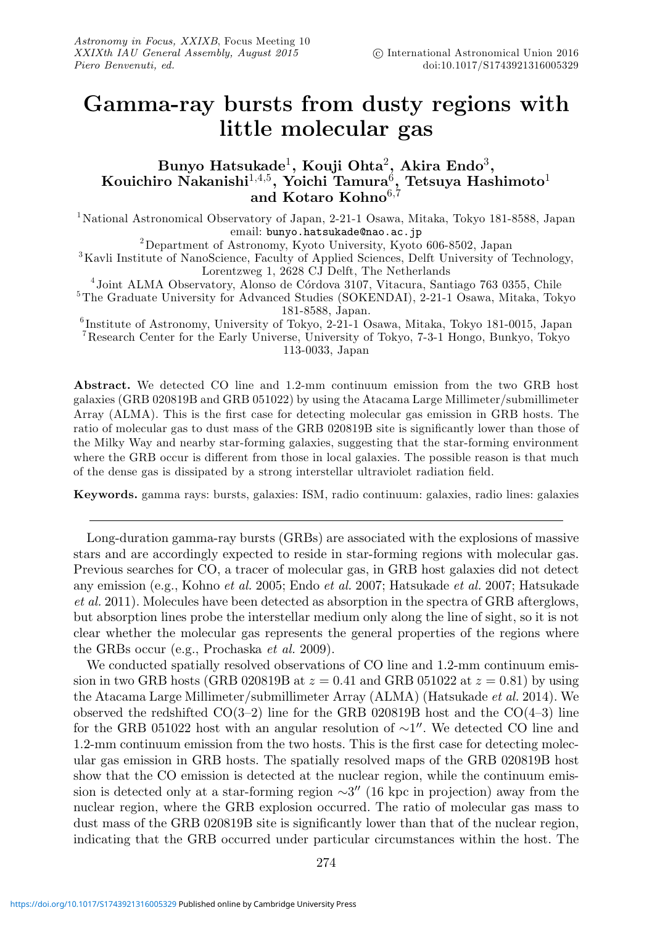## **Gamma-ray bursts from dusty regions with little molecular gas**

## **Bunyo Hatsukade**1**, Kouji Ohta**2**, Akira Endo**3**, Kouichiro Nakanishi**1,4,5**, Yoichi Tamura**6**, Tetsuya Hashimoto**<sup>1</sup> **and Kotaro Kohno**6,<sup>7</sup>

<sup>1</sup>National Astronomical Observatory of Japan, 2-21-1 Osawa, Mitaka, Tokyo 181-8588, Japan

email: **bunyo.hatsukade@nao.ac.jp**<br><sup>3</sup>Kavli Institute of NanoScience, Faculty of Applied Sciences, Delft University of Technology,<br><sup>3</sup>Kavli Institute of NanoScience, Faculty of Applied Sciences, Delft University of Technol

Lorentzweg 1, 2628 CJ Delft, The Netherlands<br>
<sup>4</sup> Joint ALMA Observatory, Alonso de Córdova 3107, Vitacura, Santiago 763 0355, Chile <sup>5</sup>The Graduate University for Advanced Studies (SOKENDAI), 2-21-1 Osawa, Mitaka, Tokyo 1

<sup>6</sup>Institute of Astronomy, University of Tokyo, 2-21-1 Osawa, Mitaka, Tokyo 181-0015, Japan <sup>7</sup>Research Center for the Early Universe, University of Tokyo, 7-3-1 Hongo, Bunkyo, Tokyo 113-0033, Japan

**Abstract.** We detected CO line and 1.2-mm continuum emission from the two GRB host galaxies (GRB 020819B and GRB 051022) by using the Atacama Large Millimeter/submillimeter Array (ALMA). This is the first case for detecting molecular gas emission in GRB hosts. The ratio of molecular gas to dust mass of the GRB 020819B site is significantly lower than those of the Milky Way and nearby star-forming galaxies, suggesting that the star-forming environment where the GRB occur is different from those in local galaxies. The possible reason is that much of the dense gas is dissipated by a strong interstellar ultraviolet radiation field.

**Keywords.** gamma rays: bursts, galaxies: ISM, radio continuum: galaxies, radio lines: galaxies

Long-duration gamma-ray bursts (GRBs) are associated with the explosions of massive stars and are accordingly expected to reside in star-forming regions with molecular gas. Previous searches for CO, a tracer of molecular gas, in GRB host galaxies did not detect any emission (e.g., Kohno et al. 2005; Endo et al. 2007; Hatsukade et al. 2007; Hatsukade et al. 2011). Molecules have been detected as absorption in the spectra of GRB afterglows, but absorption lines probe the interstellar medium only along the line of sight, so it is not clear whether the molecular gas represents the general properties of the regions where the GRBs occur (e.g., Prochaska et al. 2009).

We conducted spatially resolved observations of CO line and 1.2-mm continuum emission in two GRB hosts (GRB 020819B at  $z = 0.41$  and GRB 051022 at  $z = 0.81$ ) by using the Atacama Large Millimeter/submillimeter Array (ALMA) (Hatsukade *et al.* 2014). We observed the redshifted  $CO(3-2)$  line for the GRB 020819B host and the  $CO(4-3)$  line for the GRB 051022 host with an angular resolution of  $\sim$ 1''. We detected CO line and 1.2-mm continuum emission from the two hosts. This is the first case for detecting molecular gas emission in GRB hosts. The spatially resolved maps of the GRB 020819B host show that the CO emission is detected at the nuclear region, while the continuum emission is detected only at a star-forming region  $\sim 3''$  (16 kpc in projection) away from the nuclear region, where the GRB explosion occurred. The ratio of molecular gas mass to dust mass of the GRB 020819B site is significantly lower than that of the nuclear region, indicating that the GRB occurred under particular circumstances within the host. The